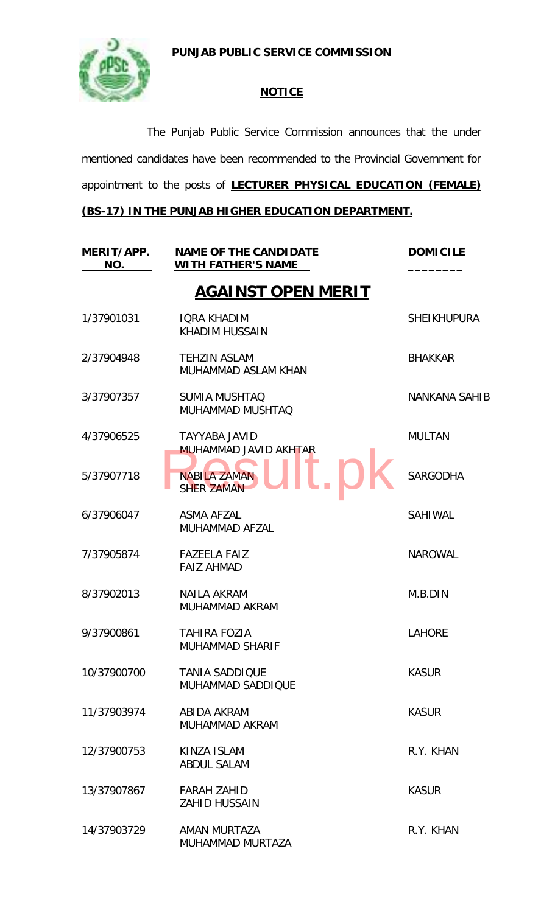**PUNJAB PUBLIC SERVICE COMMISSION**



## **NOTICE**

The Punjab Public Service Commission announces that the under mentioned candidates have been recommended to the Provincial Government for appointment to the posts of **LECTURER PHYSICAL EDUCATION (FEMALE)** 

## **(BS-17) IN THE PUNJAB HIGHER EDUCATION DEPARTMENT.**

| MERIT/APP.<br>NO. | <b>NAME OF THE CANDIDATE</b><br><b>WITH FATHER'S NAME</b> | <b>DOMICILE</b>      |
|-------------------|-----------------------------------------------------------|----------------------|
|                   | <b>AGAINST OPEN MERIT</b>                                 |                      |
| 1/37901031        | <b>IQRA KHADIM</b><br><b>KHADIM HUSSAIN</b>               | <b>SHEIKHUPURA</b>   |
| 2/37904948        | <b>TEHZIN ASLAM</b><br>MUHAMMAD ASLAM KHAN                | <b>BHAKKAR</b>       |
| 3/37907357        | <b>SUMIA MUSHTAQ</b><br><b>MUHAMMAD MUSHTAQ</b>           | <b>NANKANA SAHIB</b> |
| 4/37906525        | <b>TAYYABA JAVID</b><br><b>MUHAMMAD JAVID AKHTAR</b>      | <b>MULTAN</b>        |
| 5/37907718        | <b>NABILA ZAMAN</b><br><b>SHER ZAMAN</b>                  | <b>SARGODHA</b>      |
| 6/37906047        | <b>ASMA AFZAL</b><br><b>MUHAMMAD AFZAL</b>                | <b>SAHIWAL</b>       |
| 7/37905874        | <b>FAZEELA FAIZ</b><br><b>FAIZ AHMAD</b>                  | <b>NAROWAL</b>       |
| 8/37902013        | <b>NAILA AKRAM</b><br>MUHAMMAD AKRAM                      | M.B.DIN              |
| 9/37900861        | <b>TAHIRA FOZIA</b><br><b>MUHAMMAD SHARIF</b>             | <b>LAHORE</b>        |
| 10/37900700       | <b>TANIA SADDIQUE</b><br><b>MUHAMMAD SADDIQUE</b>         | <b>KASUR</b>         |
| 11/37903974       | ABIDA AKRAM<br>MUHAMMAD AKRAM                             | <b>KASUR</b>         |
| 12/37900753       | KINZA ISLAM<br><b>ABDUL SALAM</b>                         | R.Y. KHAN            |
| 13/37907867       | <b>FARAH ZAHID</b><br><b>ZAHID HUSSAIN</b>                | <b>KASUR</b>         |
| 14/37903729       | AMAN MURTAZA<br>MUHAMMAD MURTAZA                          | R.Y. KHAN            |